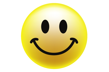